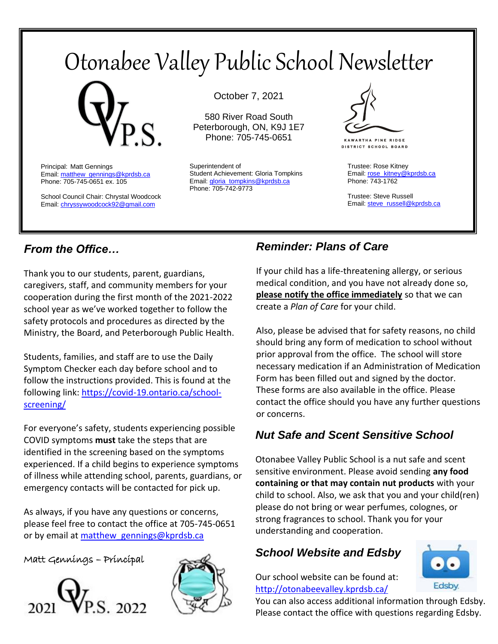# Otonabee Valley Public School Newsletter



Principal: Matt Gennings Email: matthew\_gennings@kprdsb.ca Phone: 705-745-0651 ex. 105

School Council Chair: Chrystal Woodcock Email[: chryssywoodcock92@gmail.com](mailto:chryssywoodcock92@gmail.com)

October 7, 2021

580 River Road South Peterborough, ON, K9J 1E7 Phone: 705-745-0651

Superintendent of Student Achievement: Gloria Tompkins Email: *gloria\_tompkins@kprdsb.ca* Phone: 705-742-9773



**KAWARTHA PINE RIDGE DISTRICT SCHOOL BOARD** 

Trustee: Rose Kitney Email: [rose\\_kitney@kprdsb.ca](mailto:rose_kitney@kprdsb.ca) Phone: 743-1762

Trustee: Steve Russell Email: [steve\\_russell@kprdsb.ca](mailto:steve_russell@kprdsb.ca)

#### *From the Office…*

Thank you to our students, parent, guardians, caregivers, staff, and community members for your cooperation during the first month of the 2021-2022 school year as we've worked together to follow the safety protocols and procedures as directed by the Ministry, the Board, and Peterborough Public Health.

Students, families, and staff are to use the Daily Symptom Checker each day before school and to follow the instructions provided. This is found at the following link: [https://covid-19.ontario.ca/school](https://covid-19.ontario.ca/school-screening/)[screening/](https://covid-19.ontario.ca/school-screening/)

For everyone's safety, students experiencing possible COVID symptoms **must** take the steps that are identified in the screening based on the symptoms experienced. If a child begins to experience symptoms of illness while attending school, parents, guardians, or emergency contacts will be contacted for pick up.

As always, if you have any questions or concerns, please feel free to contact the office at 705-745-0651 or by email at matthew gennings@kprdsb.ca

Matt Gennings – Principal





#### *Reminder: Plans of Care*

If your child has a life-threatening allergy, or serious medical condition, and you have not already done so, **please notify the office immediately** so that we can create a *Plan of Care* for your child.

Also, please be advised that for safety reasons, no child should bring any form of medication to school without prior approval from the office. The school will store necessary medication if an Administration of Medication Form has been filled out and signed by the doctor. These forms are also available in the office. Please contact the office should you have any further questions or concerns.

#### $\overline{a}$ *Nut Safe and Scent Sensitive School*

Otonabee Valley Public School is a nut safe and scent sensitive environment. Please avoid sending **any food containing or that may contain nut products** with your child to school. Also, we ask that you and your child(ren) please do not bring or wear perfumes, colognes, or strong fragrances to school. Thank you for your understanding and cooperation.

#### *School Website and Edsby*

Our school website can be found at: <http://otonabeevalley.kprdsb.ca/>



You can also access additional information through Edsby. Please contact the office with questions regarding Edsby.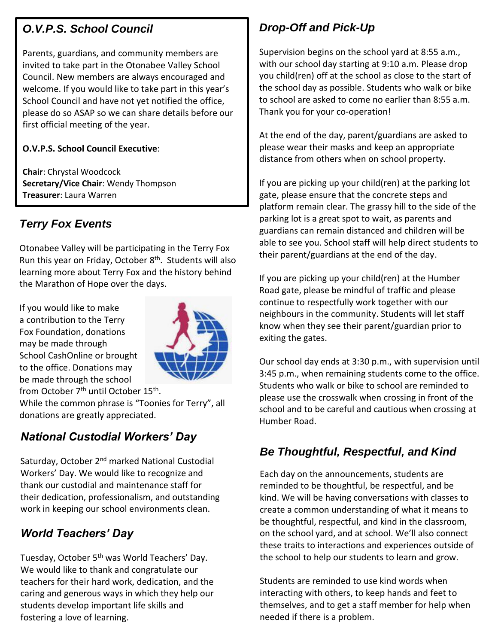#### *O.V.P.S. School Council*

Parents, guardians, and community members are invited to take part in the Otonabee Valley School Council. New members are always encouraged and welcome. If you would like to take part in this year's School Council and have not yet notified the office, please do so ASAP so we can share details before our first official meeting of the year.

#### **O.V.P.S. School Council Executive**:

**Chair**: Chrystal Woodcock **Secretary/Vice Chair**: Wendy Thompson **Treasurer**: Laura Warren

#### *Terry Fox Events*

Otonabee Valley will be participating in the Terry Fox Run this year on Friday, October 8<sup>th</sup>. Students will also learning more about Terry Fox and the history behind the Marathon of Hope over the days.

If you would like to make a contribution to the Terry Fox Foundation, donations may be made through School CashOnline or brought to the office. Donations may be made through the school from October 7<sup>th</sup> until October 15<sup>th</sup>.



While the common phrase is "Toonies for Terry", all donations are greatly appreciated.

## *National Custodial Workers' Day*

Saturday, October 2<sup>nd</sup> marked National Custodial Workers' Day. We would like to recognize and thank our custodial and maintenance staff for their dedication, professionalism, and outstanding work in keeping our school environments clean.

## *World Teachers' Day*

Tuesday, October 5<sup>th</sup> was World Teachers' Day. We would like to thank and congratulate our teachers for their hard work, dedication, and the caring and generous ways in which they help our students develop important life skills and fostering a love of learning.

## *Drop-Off and Pick-Up*

Supervision begins on the school yard at 8:55 a.m., with our school day starting at 9:10 a.m. Please drop you child(ren) off at the school as close to the start of the school day as possible. Students who walk or bike to school are asked to come no earlier than 8:55 a.m. Thank you for your co-operation!

At the end of the day, parent/guardians are asked to please wear their masks and keep an appropriate distance from others when on school property.

If you are picking up your child(ren) at the parking lot gate, please ensure that the concrete steps and platform remain clear. The grassy hill to the side of the parking lot is a great spot to wait, as parents and guardians can remain distanced and children will be able to see you. School staff will help direct students to their parent/guardians at the end of the day.

If you are picking up your child(ren) at the Humber Road gate, please be mindful of traffic and please continue to respectfully work together with our neighbours in the community. Students will let staff know when they see their parent/guardian prior to exiting the gates.

Our school day ends at 3:30 p.m., with supervision until 3:45 p.m., when remaining students come to the office. Students who walk or bike to school are reminded to please use the crosswalk when crossing in front of the school and to be careful and cautious when crossing at Humber Road.

#### *Be Thoughtful, Respectful, and Kind*

Each day on the announcements, students are reminded to be thoughtful, be respectful, and be kind. We will be having conversations with classes to create a common understanding of what it means to be thoughtful, respectful, and kind in the classroom, on the school yard, and at school. We'll also connect these traits to interactions and experiences outside of the school to help our students to learn and grow.

Students are reminded to use kind words when interacting with others, to keep hands and feet to themselves, and to get a staff member for help when needed if there is a problem.